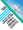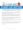

## **Top 5 Myths Stopping You From Living A Portable Lifestyle**

"Whatever the mind can conceive and believe the mind can achieve." - Napoleon Hill

When I first discovered the idea of being able to run a business and earn money while traveling the world, I would have to say I was skeptical at best. I always thought people were just selling this idea of living a 'portable lifestyle' but never thought it was possible.

One thing I did know in my heart at the time, I was definitely fed up with constantly trading time for money so I started to research everything I could about running a business online. But I wasn't 100% sold on it UNTIL I finally realized the true power of a lifestyle business and how to actually make it a reality.

Success in a 'portable business' comes from acquiring the right knowledge and the ability to leverage specific tools, software and systems that are now readily available to anyone. As I started setting up my first online venture, I got better and more confident in my abilities.

Just like getting good at anything, living a portable lifestyle requires some planning, some determination and some practice. That's pretty much it.

So, today I want to share with you the common myths that hold most people back at the beginning.

These are the exact same things that I was telling myself when I started thinking about living a portable lifestyle. But once I overcame them, I was able to build my dream business and dream life.

Ok. Let the fun begin!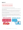## It takes a small fortune to get started.

====================================

====================================

This is one of the biggest fallacies around in the online business world.

You don't need a lot of money to get started. There are a lot of ways to kick-off your portable business without breaking the bank.

One of the best ways to debunk this myth for yourself is to just small on the side, especially if you have limited resources, while you continue your full-time gig to get a feel for it and learn as you grow.

That way you can scale your online business incrementally until you reach the point where you quit what you're doing and start doing it full time

Big chunks of capital might help you grow faster, but a slow and steady growth rate can help you figure things out first so you can get your business legs underneath you while your profit margins grow.

This graphic shows the difference between starting a traditional bricks and mortar business and a typical shoestring online business:

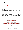## It takes forever to get started and make it work.

=========================================

=========================================

This is also totally not true.

Although, unlike many internet hucksters are preaching out there, money won't just come pouring out of your computer.

Like anything else, a portable business takes some time and effort to achieve success. But the amount of time it will take to make it happen is completely up to you.

That being said, an online business is the one type of business that can be started quickly (and as we already discussed, with minimal initial capital out of pocket) due to the easy availability of great information and tools to help you get up and running quickly.

As a 'newbie', you are obviously going to have to learn the basics of how to build a successful business.

There are many terms you aren't going to be familiar with and processes you are going to learn about that, at first, will make you go, "Huh?"

It may seem overwhelming at the beginning but the fact is it's really not difficult.

Success isn't difficult. Success is a SYSTEM!



The beautiful thing is, you can work a few hours a day or a few hours a week. It all depends how long you want it to take before you can turn it into your full time income producer.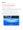## I don't have what it takes to make it happen.

======================================

======================================

Again, this just isn't true. *Unless you MAKE it true!*

The key to achieving success in a portable business anything is to find the right system to follow, commit to making it happen and be consistent with how much time you spend learning and applying the system.

You CAN do it if you take the time to learn the right strategies and apply what you learn.

Do you remember what it was like when you first learned to ride a bike or drive a car?

You had to willing to start and then you had to keep at it until you succeeded. But, if you can ride a bicycle or drive a car, you obviously stuck with it until you did it. This is no different.

Remember, we're talking about YOUR future here. So, if you want it bad enough, you can have it.

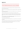### ===================================================

## I need a 50 page business plan and a room full of employees.

===================================================

First off, starting your future successful portable business will NOT be complicated and stressful like a bricks-and-mortar business can be.

Yes, you will have to do some planning to make it work, but nothing near as tedious as a regular business startup.

And, of course, if you have the resources to hire a bunch of people to work for you it can help you grow a business faster than by yourself.

However, if you're like me, you don't want to do that when you're first starting out anyway.

Because you'll want to be able to learn the ropes first and figure out what works for you way before you make any decisions on whether or not hiring others to work for you will be a wise decision to help you grow.

I know many people who run their portable businesses as one person operations and have done so for years. Not all businesses require more people to make them work.

That's the beauty of doing business online.

You let the systems do most of the heavy lifting FOR you so you can spend most of your time doing what you should do.

And that's coming up with more ways to get new customers or clients coming in and taking care of them.

As one example of a simple way to start planning your portable business, you can use a one page business plan like the one I'm giving you on the next page: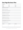# **One Page Business Plan**

| Company Name:                                            |                                                         |               |  |
|----------------------------------------------------------|---------------------------------------------------------|---------------|--|
| Web Site:                                                | Name:                                                   | Phone:        |  |
| Twitter:                                                 | Title:                                                  | Industry:     |  |
| Facebook:                                                | Email:                                                  | Stage:        |  |
| Problem (what pain is your biz is solving?)              |                                                         |               |  |
|                                                          |                                                         |               |  |
| Solution (how is your biz solving that?)                 |                                                         |               |  |
|                                                          |                                                         |               |  |
| Impact (what is the positive social impact of your biz?) |                                                         |               |  |
|                                                          |                                                         |               |  |
| Business Model (how does your biz make money?)           |                                                         |               |  |
|                                                          |                                                         |               |  |
| Secret Sauce (what is the underlying magic?)             |                                                         |               |  |
|                                                          |                                                         |               |  |
| Sales & Marketing (how will your biz go to market?)      |                                                         |               |  |
| Competition (what your biz can do they can't?)           |                                                         |               |  |
|                                                          |                                                         |               |  |
| Team (who is on your team, why are they good?)           |                                                         |               |  |
|                                                          |                                                         |               |  |
|                                                          | Projections & Milestones (underlying important metrics) |               |  |
|                                                          |                                                         |               |  |
| Status & Timeline (where is the biz now?)                |                                                         |               |  |
|                                                          |                                                         |               |  |
| <b>Next Steps #1</b>                                     | <b>Next Steps #2</b>                                    | Next Steps #3 |  |
|                                                          |                                                         |               |  |
|                                                          |                                                         |               |  |
|                                                          |                                                         |               |  |
|                                                          |                                                         |               |  |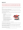I have no idea what to sell or no one will buy what I have to offer.

=======================================================

=======================================================

Let me ask you this. *Why NOT?* Why do you buy what you do from the people and businesses YOU buy from?

Because they have what you need? Because you like them? Because they treat you like the valuable customer you are and give you exceptional service?

Running a successful portable business is all about providing a valuable product or service to the people who need that kind of product or service.

The key to earning money anywhere, whether you work for yourself or someone else, comes down to a few simple ingredients:

- 1. Think about things you would enjoy doing in your business
- 2. Find out if it's something other people want and need
- 3. Make sure they are willing to pay for it
- 4. Learn what you need to set up and run the system necessary to offer it to them
- 5. Get them to know, like and trust you (Which is not as difficult as you may think as long as you use some proven marketing formulas)
- 6. Sell them what you have to offer!



That's really all it takes to succeed in business -- online or offline.

So think about what you are good at and what you enjoy doing in your life right now. THAT is the place to start looking for your first BIG business idea.

If you're stuck as to where to start getting ideas, you're not alone. And it's not your fault. With all the information overload we are subjected to every day in this ultra-plugged-in, digital world we live in today, it's a wonder we can function at all.

To help you start sparking your imagination, starting on the next page, I've included a list of 12 potential portable business ideas and how they work: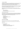#### 1. Become An Affiliate

Learning how to earn money online as an affiliate isn't easy. But there are lots of people worldwide that are making over \$1,000,000 a year doing it. Most will not be a successful unless they have some formal help and training. Affiliate stores are web stores where people purchase items on a site, but through a third party.

Amazon is one of the most popular affiliate programs in the world, but it really shouldn't be considering the commissions are so low! It's not just Amazon that you can affiliate with; there are 1,000 affiliate programs to choose from.

Although Amazon can be lucrative, there are some much better options out there, allowing affiliates to earn up to 75% commission in some cases! Here are a few benefits You can:

- Build multiple sites
- Work in your own time
- Focus on product niches that you have an interest in!

#### 2. Start An Ecommerce Store

At the forefront of the internet revolution has been ecommerce stores. Nowadays you can get an easy to use, fully functional ecommerce store design for as little as \$500; then you just need a [domain and hosting.](http://www.vibetechmedia.com/18/123reg) Of course, how much you profit depends on your methods and effectiveness of marketing which might include:

- Print media
- PPC (pay-per-click)
- SEO (search engine optimization)
- Networking
- Event sponsorship
- The list goes on...!

#### 3. Earn Cash From Blogging

Starting a blog isn't as hard as you think. All you need is hosting and a domain.

To make money online from a blog you need to gain large amounts of traffic from a specific niche.

You can earn cash using:

- Google AdSense
- Selling banner advertisements
- Affiliating to sites such as Amazon & eBay (see #2)
- Offer premium services or member areas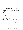#### 4. Sell On eBay

Although selling on eBay successfully is not quite the easiest thing to do, if you pick the right product (particularly unbranded products) you have a chance to import items and make huge profit margins.

You need to be able to able to target a niche where the profit margins are high and competition is low.

#### 5. Train, Coach and Mentor

Perhaps you have a specific skill set that you could teach. There are hundreds of skills that can be taught over the internet, especially due to the fact that services like Skype are free.

You might have to offer a free service now and build a freemium model (offer free accounts with limited features, then charge for upgrades) for the future in order to make some large amounts of cash. It's one of the good business ideas for those with extensive amounts of knowledge. You could:

- Teach a language
- Offer marketing training
- Help improve writing skills
- And more!

#### 6. Become A Drop Shipper

Drop shipping is fairly similar to running an affiliate store. You act as the mediator without ever touching the product.

The difference between a drop shipper and affiliate is that the sale with drop shipping websites is not completely managed.

You might have to set up systems to automatically make a purchase with your drop shipping company, in order for it to be sent directly to the end consumer.

#### 7. Paid Blogging

With over 350,000,000 websites on the internet, there is a huge demand for content. If you have experience or skills relating to writing, offering a blog posting service could be for you.

Lower paid projects might start at around \$1 per 100 words, with quality focused projects being in the \$2.50-10 per 100 words range.

Sites like People Per Hour and Upwork are great for picking up paid writing gigs, without actually having a website.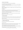#### 8. Become A Virtual Assistant

A virtual assistant is a great job to have if you want flexibility.

You'll be able to maintain multiple clients at once which mean you can easily fill gaps in your week or work overtime if you need to.

A virtual assistant will generally charge \$15-25 per hour depending on the specifics of their job role.

Expect to be assisting with tasks such as blogger outreach, product listings, research and responding to emails.

#### 9. Outsource

How about setting up a business that focuses on outsourcing? Most successful service providers on the internet find that they need external help at some point.

They might have a blogging client that requires logo design. They might have a guest posting service client that needs web design.

Instead of actually providing the services personally, you could outsource and take a profit margin of your choice!

TIP: Make sure you learn how to outsource first!

#### 10. Offer Telemarketing

Telemarketing services are great for appointment setting as well as creating warm leads.

More and more companies are looking to outsource their marketing efforts and this is where you could fit in.

Telemarketers charge \$20-50 per hour depending on the size and type of operation.

#### 11. Manage Social Media Profiles

Social media is an important part of any online business.

The problem? Time!

Most business owners simply don't have the time to be involved with Twitter, LinkedIn, Facebook and other sites, in a pro-active way. That is where you can help.

If you can engage clients and build up attractive social media profiles, then you will be able to attract clients, which makes this a service with value.

Again, these projects are posted on freelance sites such as People Per Hour and Upwork on a regular basis, so you can start building up clients right away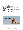#### 12. Create Valuable Resources

The sites that hold the most value on the web hold the most valuable content.

Facebook holds information about what hundreds of millions of users do and like.

YouTube has millions of funny, educational and controversial videos.

Here are just a few of the things you could do for others:

- Write content for blog posts, whitepapers, reports (like this one), etc.
- Ghostwrite books
- Create videos
- Record audios
- You can even create products called PLR (Product Label Rights) where you sell the rights to allow other people to use your work as their own for their businesses
- Etc, etc...

If you can create a website that focuses on offering valuable resources, then you just might be onto a winner.

And that's just a fraction of what's possible for creating a portable business.

So, as you can see, there is no such thing as a lack of ideas. Just a lack of knowledge and a bit of creative imagination.